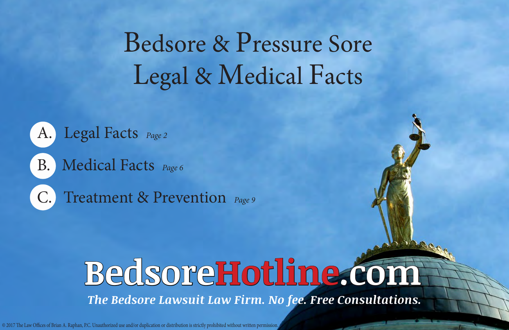# Bedsore & Pressure Sore Legal & Medical Facts



# **BedsoreHotline.com**

*The Bedsore Lawsuit Law Firm. No fee. Free Consultations.*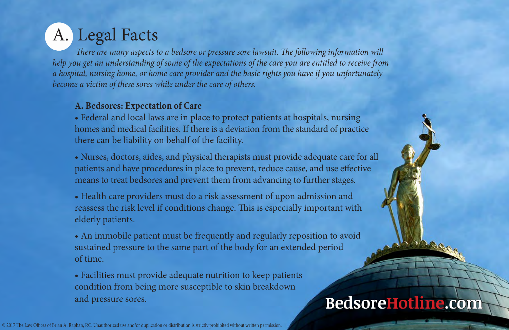# <span id="page-1-0"></span>A. Legal Facts

 *There are many aspects to a bedsore or pressure sore lawsuit. The following information will help you get an understanding of some of the expectations of the care you are entitled to receive from a hospital, nursing home, or home care provider and the basic rights you have if you unfortunately become a victim of these sores while under the care of others.*

#### **A. Bedsores: Expectation of Care**

• Federal and local laws are in place to protect patients at hospitals, nursing homes and medical facilities. If there is a deviation from the standard of practice there can be liability on behalf of the facility.

• Nurses, doctors, aides, and physical therapists must provide adequate care for all patients and have procedures in place to prevent, reduce cause, and use effective means to treat bedsores and prevent them from advancing to further stages.

• Health care providers must do a risk assessment of upon admission and reassess the risk level if conditions change. This is especially important with elderly patients.

• An immobile patient must be frequently and regularly reposition to avoid sustained pressure to the same part of the body for an extended period of time.

• Facilities must provide adequate nutrition to keep patients condition from being more susceptible to skin breakdown and pressure sores.

### **BedsoreHotline.com**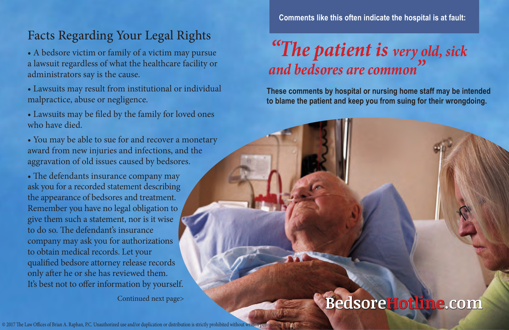#### Facts Regarding Your Legal Rights

• A bedsore victim or family of a victim may pursue a lawsuit regardless of what the healthcare facility or administrators say is the cause.

- Lawsuits may result from institutional or individual malpractice, abuse or negligence.
- Lawsuits may be filed by the family for loved ones who have died.
- You may be able to sue for and recover a monetary award from new injuries and infections, and the aggravation of old issues caused by bedsores.

• The defendants insurance company may ask you for a recorded statement describing the appearance of bedsores and treatment. Remember you have no legal obligation to give them such a statement, nor is it wise to do so. The defendant's insurance company may ask you for authorizations to obtain medical records. Let your qualified bedsore attorney release records only after he or she has reviewed them. It's best not to offer information by yourself.

 **Comments like this often indicate the hospital is at fault:**

## *"The patient is very old, sick and bedsores are common"*

**These comments by hospital or nursing home staff may be intended to blame the patient and keep you from suing for their wrongdoing.**

#### Continued next page> **BedsoreHotline.com**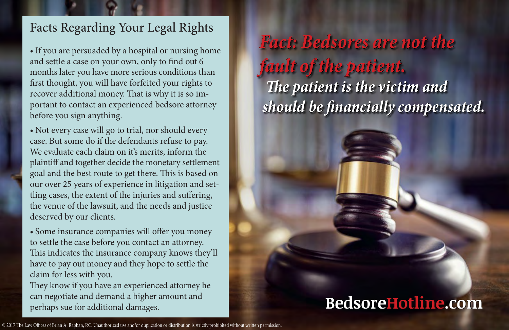#### Facts Regarding Your Legal Rights

**•** If you are persuaded by a hospital or nursing home and settle a case on your own, only to find out 6 months later you have more serious conditions than first thought, you will have forfeited your rights to recover additional money. That is why it is so important to contact an experienced bedsore attorney before you sign anything.

**•** Not every case will go to trial, nor should every case. But some do if the defendants refuse to pay. We evaluate each claim on it's merits, inform the plaintiff and together decide the monetary settlement goal and the best route to get there. This is based on our over 25 years of experience in litigation and settling cases, the extent of the injuries and suffering, the venue of the lawsuit, and the needs and justice deserved by our clients.

**•** Some insurance companies will offer you money to settle the case before you contact an attorney. This indicates the insurance company knows they'll have to pay out money and they hope to settle the claim for less with you.

They know if you have an experienced attorney he can negotiate and demand a higher amount and perhaps sue for additional damages.

*[Fact: Bedsores are not the](goo.gl/0rn8bg)  fault of the patient. The patient is the victim and should be financially compensated.*

### **BedsoreHotline.com**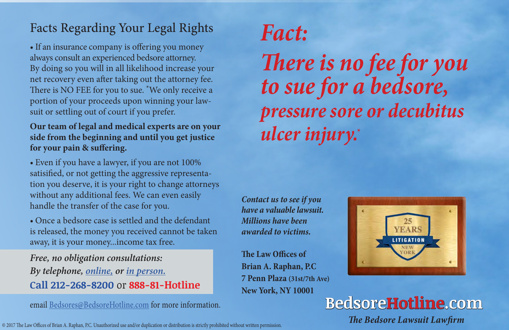#### Facts Regarding Your Legal Rights

• If an insurance company is offering you money always consult an experienced bedsore attorney. By doing so you will in all likelihood increase your net recovery even after taking out the attorney fee. There is NO FEE for you to sue. \*We only receive a portion of your proceeds upon winning your lawsuit or settling out of court if you prefer.

#### **Our team of legal and medical experts are on your side from the beginning and until you get justice for your pain & suffering.**

**•** Even if you have a lawyer, if you are not 100% satisified, or not getting the aggressive representation you deserve, it is your right to change attorneys without any additional fees. We can even easily handle the transfer of the case for you.

**•** Once a bedsore case is settled and the defendant is released, the money you received cannot be taken away, it is your money...income tax free.

*Free, no obligation consultations: By telephone, [online,](http://www.bedsorehotline.com/case-evaluator) or [in person.](goo.gl/0rn8bg)* **Call 212-268-8200** or **888-81-Hotline**

email [Bedsores@BedsoreHotline.com](mailto:Bedsores@BedsoreHotline.com?subject=I%27d%20like%20a%20free%20consultation...) for more information.

© 2017 The Law Offices of Brian A. Raphan, P.C. Unauthorized use and/or duplication or distribution is strictly prohibited without written permission. **The Bedsore Lawsuit Lawfirm** 

# *Fact:*

*There is no fee for you to sue for a bedsore, pressure sore or decubitus ulcer injury.\**

*Contact us to see if you have a valuable lawsuit. Millions have been awarded to victims.*

**The Law Offices of Brian A. Raphan, P.C 7 Penn Plaza (31st/7th Ave) New York, NY 10001**



**BedsoreHotline.com**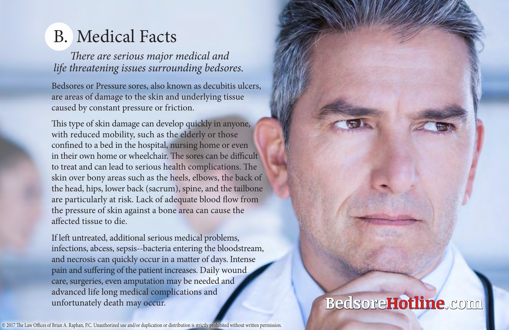### <span id="page-5-0"></span>B. Medical Facts

*There are serious major medical and life threatening issues surrounding bedsores.*

Bedsores or Pressure sores, also known as decubitis ulcers, are areas of damage to the skin and underlying tissue caused by constant pressure or friction.

This type of skin damage can develop quickly in anyone, with reduced mobility, such as the elderly or those confined to a bed in the hospital, nursing home or even in their own home or wheelchair. The sores can be difficult to treat and can lead to serious health complications. The skin over bony areas such as the heels, elbows, the back of the head, hips, lower back (sacrum), spine, and the tailbone are particularly at risk. Lack of adequate blood flow from the pressure of skin against a bone area can cause the affected tissue to die.

If left untreated, additional serious medical problems, infections, abcess, sepsis--bacteria entering the bloodstream, and necrosis can quickly occur in a matter of days. Intense pain and suffering of the patient increases. Daily wound care, surgeries, even amputation may be needed and advanced life long medical complications and unfortunately death may occur.

© 2017 The Law Offices of Brian A. Raphan, P.C. Unauthorized use and/or duplication or distribution is strictly prohibited without written permission.

### **BedsoreHotline.com**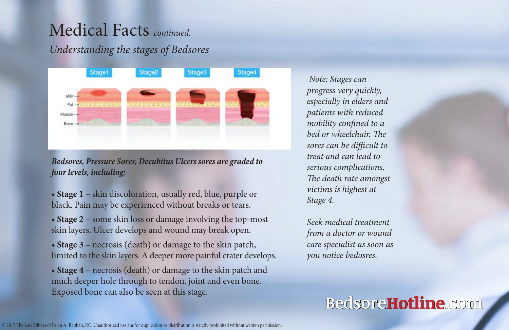### Medical Facts *continued.*

#### *Understanding the stages of Bedsores*



*Bedsores, Pressure Sores, Decubitus Ulcers sores are graded to four levels, including:*

• **Stage 1** – skin discoloration, usually red, blue, purple or black. Pain may be experienced without breaks or tears.

• **Stage 2** – some skin loss or damage involving the top-most skin layers. Ulcer develops and wound may break open.

• **Stage 3** – necrosis (death) or damage to the skin patch, limited to the skin layers. A deeper more painful crater develops.

• **Stage 4** – necrosis (death) or damage to the skin patch and much deeper hole through to tendon, joint and even bone. Exposed bone can also be seen at this stage.

 *Note: Stages can progress very quickly, especially in elders and patients with reduced mobility confined to a bed or wheelchair. The sores can be difficult to treat and can lead to serious complications. The death rate amongst victims is highest at Stage 4.*

*Seek medical treatment from a doctor or wound care specialist as soon as you notice bedosres.*

#### **BedsoreHotline.com**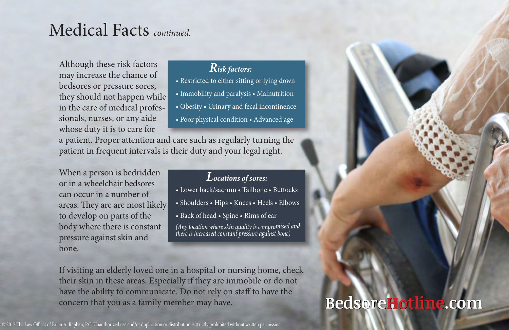### Medical Facts *continued.*

Although these risk factors may increase the chance of bedsores or pressure sores, they should not happen while in the care of medical professionals, nurses, or any aide whose duty it is to care for

#### *Risk factors:*

- Restricted to either sitting or lying down
- Immobility and paralysis Malnutrition
- Obesity Urinary and fecal incontinence
- Poor physical condition Advanced age

a patient. Proper attention and care such as regularly turning the patient in frequent intervals is their duty and your legal right.

When a person is bedridden or in a wheelchair bedsores can occur in a number of areas. They are are most likely to develop on parts of the body where there is constant pressure against skin and bone.

#### *Locations of sores:*

- Lower back/sacrum Tailbone Buttocks
- Shoulders Hips Knees Heels Elbows
- Back of head Spine Rims of ear

*(Any location where skin quality is compromised and there is increased constant pressure against bone)*

If visiting an elderly loved one in a hospital or nursing home, check their skin in these areas. Especially if they are immobile or do not have the ability to communicate. Do not rely on staff to have the concern that you as a family member may have.

### **BedsoreHotline.com**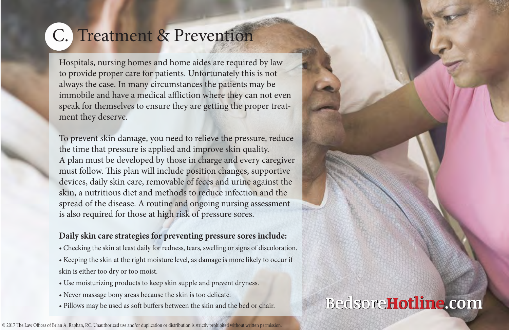# <span id="page-8-0"></span>C. Treatment & Prevention

Hospitals, nursing homes and home aides are required by law to provide proper care for patients. Unfortunately this is not always the case. In many circumstances the patients may be immobile and have a medical affliction where they can not even speak for themselves to ensure they are getting the proper treatment they deserve.

To prevent skin damage, you need to relieve the pressure, reduce the time that pressure is applied and improve skin quality. A plan must be developed by those in charge and every caregiver must follow. This plan will include position changes, supportive devices, daily skin care, removable of feces and urine against the skin, a nutritious diet and methods to reduce infection and the spread of the disease. A routine and ongoing nursing assessment is also required for those at high risk of pressure sores.

#### **Daily skin care strategies for preventing pressure sores include:**

- Checking the skin at least daily for redness, tears, swelling or signs of discoloration.
- Keeping the skin at the right moisture level, as damage is more likely to occur if skin is either too dry or too moist.
- Use moisturizing products to keep skin supple and prevent dryness.
- Never massage bony areas because the skin is too delicate.
- Pillows may be used as soft buffers between the skin and the bed or chair.

#### **BedsoreHotline.com**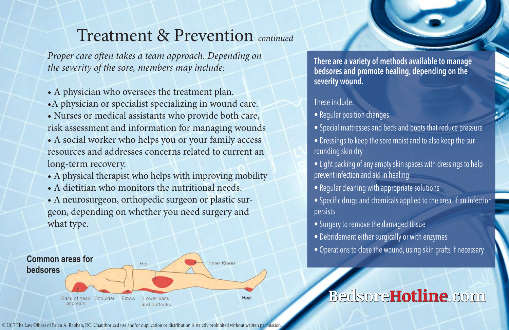#### Treatment & Prevention *continued*

*Proper care often takes a team approach. Depending on the severity of the sore, members may include:*

- A physician who oversees the treatment plan.
- •A physician or specialist specializing in wound care.
- Nurses or medical assistants who provide both care, risk assessment and information for managing wounds
- A social worker who helps you or your family access resources and addresses concerns related to current an long-term recovery.
- A physical therapist who helps with improving mobility
- A dietitian who monitors the nutritional needs.
- A neurosurgeon, orthopedic surgeon or plastic surgeon, depending on whether you need surgery and what type.



**There are a variety of methods available to manage bedsores and promote healing, depending on the severity wound.** 

#### These include:

- Regular position changes
- Special mattresses and beds and boots that reduce pressure
- Dressings to keep the sore moist and to also keep the surrounding skin dry
- Light packing of any empty skin spaces with dressings to help prevent infection and aid in healing
- Regular cleaning with appropriate solutions
- Specific drugs and chemicals applied to the area, if an infection persists
- Surgery to remove the damaged tissue
- Debridement either surgically or with enzymes
- Operations to close the wound, using skin grafts if necessary

### **BedsoreHotline.com**